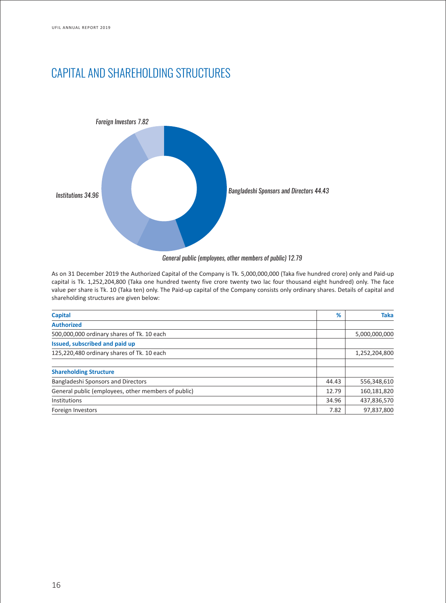# CAPITAL AND SHAREHOLDING STRUCTURES



*General public (employees, other members of public) 12.79*

As on 31 December 2019 the Authorized Capital of the Company is Tk. 5,000,000,000 (Taka five hundred crore) only and Paid-up capital is Tk. 1,252,204,800 (Taka one hundred twenty five crore twenty two lac four thousand eight hundred) only. The face value per share is Tk. 10 (Taka ten) only. The Paid-up capital of the Company consists only ordinary shares. Details of capital and shareholding structures are given below:

| <b>Capital</b>                                      | %     | <b>Taka</b>   |
|-----------------------------------------------------|-------|---------------|
| <b>Authorized</b>                                   |       |               |
| 500,000,000 ordinary shares of Tk. 10 each          |       | 5,000,000,000 |
| Issued, subscribed and paid up                      |       |               |
| 125,220,480 ordinary shares of Tk. 10 each          |       | 1,252,204,800 |
| <b>Shareholding Structure</b>                       |       |               |
| Bangladeshi Sponsors and Directors                  | 44.43 | 556,348,610   |
| General public (employees, other members of public) | 12.79 | 160,181,820   |
| Institutions                                        | 34.96 | 437,836,570   |
| Foreign Investors                                   | 7.82  | 97,837,800    |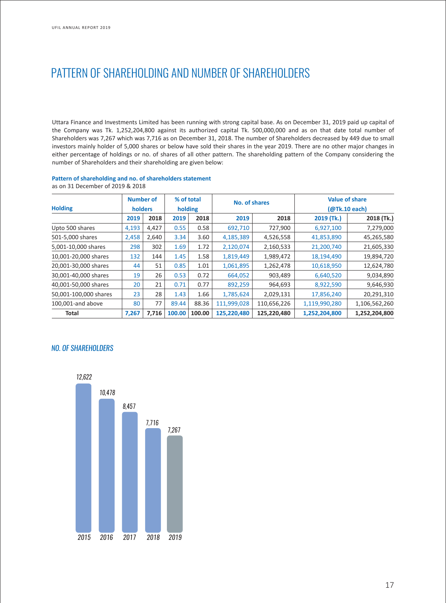# PATTERN OF SHAREHOLDING AND NUMBER OF SHAREHOLDERS

Uttara Finance and Investments Limited has been running with strong capital base. As on December 31, 2019 paid up capital of the Company was Tk. 1,252,204,800 against its authorized capital Tk. 500,000,000 and as on that date total number of Shareholders was 7,267 which was 7,716 as on December 31, 2018. The number of Shareholders decreased by 449 due to small investors mainly holder of 5,000 shares or below have sold their shares in the year 2019. There are no other major changes in either percentage of holdings or no. of shares of all other pattern. The shareholding pattern of the Company considering the number of Shareholders and their shareholding are given below:

#### **Pattern of shareholding and no. of shareholders statement** as on 31 December of 2019 & 2018

| <b>Holding</b>        | <b>Number of</b><br>holders |       | % of total<br>holding |        | No. of shares |             | <b>Value of share</b><br>(@Tk.10 each) |               |
|-----------------------|-----------------------------|-------|-----------------------|--------|---------------|-------------|----------------------------------------|---------------|
|                       | 2019                        | 2018  | 2019                  | 2018   | 2019          | 2018        | 2019 (Tk.)                             | 2018 (Tk.)    |
| Upto 500 shares       | 4,193                       | 4,427 | 0.55                  | 0.58   | 692,710       | 727,900     | 6,927,100                              | 7,279,000     |
| 501-5,000 shares      | 2,458                       | 2,640 | 3.34                  | 3.60   | 4,185,389     | 4,526,558   | 41,853,890                             | 45,265,580    |
| 5,001-10,000 shares   | 298                         | 302   | 1.69                  | 1.72   | 2,120,074     | 2,160,533   | 21,200,740                             | 21,605,330    |
| 10,001-20,000 shares  | 132                         | 144   | 1.45                  | 1.58   | 1,819,449     | 1,989,472   | 18,194,490                             | 19,894,720    |
| 20,001-30,000 shares  | 44                          | 51    | 0.85                  | 1.01   | 1,061,895     | 1,262,478   | 10,618,950                             | 12,624,780    |
| 30,001-40,000 shares  | 19                          | 26    | 0.53                  | 0.72   | 664,052       | 903,489     | 6,640,520                              | 9,034,890     |
| 40,001-50,000 shares  | 20                          | 21    | 0.71                  | 0.77   | 892,259       | 964,693     | 8,922,590                              | 9,646,930     |
| 50,001-100,000 shares | 23                          | 28    | 1.43                  | 1.66   | 1,785,624     | 2,029,131   | 17,856,240                             | 20,291,310    |
| 100,001-and above     | 80                          | 77    | 89.44                 | 88.36  | 111,999,028   | 110,656,226 | 1,119,990,280                          | 1,106,562,260 |
| <b>Total</b>          | 7,267                       | 7,716 | 100.00                | 100.00 | 125,220,480   | 125,220,480 | 1,252,204,800                          | 1,252,204,800 |

### *NO. OF SHAREHOLDERS*

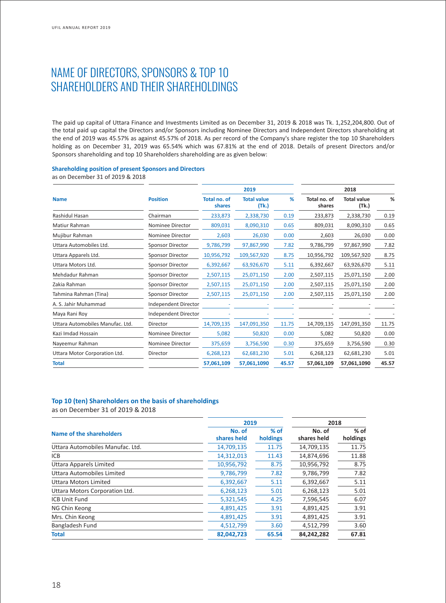### NAME OF DIRECTORS, SPONSORS & TOP 10 SHAREHOLDERS AND THEIR SHAREHOLDINGS

The paid up capital of Uttara Finance and Investments Limited as on December 31, 2019 & 2018 was Tk. 1,252,204,800. Out of the total paid up capital the Directors and/or Sponsors including Nominee Directors and Independent Directors shareholding at the end of 2019 was 45.57% as against 45.57% of 2018. As per record of the Company's share register the top 10 Shareholders holding as on December 31, 2019 was 65.54% which was 67.81% at the end of 2018. Details of present Directors and/or Sponsors shareholding and top 10 Shareholders shareholding are as given below:

#### **Shareholding position of present Sponsors and Directors**

as on December 31 of 2019 & 2018

|                                  |                         |                        | 2019                        |       | 2018                   |                             |       |
|----------------------------------|-------------------------|------------------------|-----------------------------|-------|------------------------|-----------------------------|-------|
| <b>Name</b>                      | <b>Position</b>         | Total no. of<br>shares | <b>Total value</b><br>(Tk.) | %     | Total no. of<br>shares | <b>Total value</b><br>(Tk.) | %     |
| Rashidul Hasan                   | Chairman                | 233,873                | 2,338,730                   | 0.19  | 233,873                | 2,338,730                   | 0.19  |
| Matiur Rahman                    | Nominee Director        | 809,031                | 8,090,310                   | 0.65  | 809,031                | 8,090,310                   | 0.65  |
| Mujibur Rahman                   | Nominee Director        | 2,603                  | 26,030                      | 0.00  | 2,603                  | 26,030                      | 0.00  |
| Uttara Automobiles Ltd.          | <b>Sponsor Director</b> | 9,786,799              | 97,867,990                  | 7.82  | 9,786,799              | 97,867,990                  | 7.82  |
| Uttara Apparels Ltd.             | Sponsor Director        | 10,956,792             | 109,567,920                 | 8.75  | 10,956,792             | 109,567,920                 | 8.75  |
| Uttara Motors Ltd.               | Sponsor Director        | 6,392,667              | 63,926,670                  | 5.11  | 6,392,667              | 63,926,670                  | 5.11  |
| Mehdadur Rahman                  | Sponsor Director        | 2,507,115              | 25,071,150                  | 2.00  | 2,507,115              | 25,071,150                  | 2.00  |
| Zakia Rahman                     | Sponsor Director        | 2,507,115              | 25,071,150                  | 2.00  | 2,507,115              | 25,071,150                  | 2.00  |
| Tahmina Rahman (Tina)            | Sponsor Director        | 2,507,115              | 25,071,150                  | 2.00  | 2,507,115              | 25,071,150                  | 2.00  |
| A. S. Jahir Muhammad             | Independent Director    |                        |                             |       |                        |                             |       |
| Maya Rani Roy                    | Independent Director    |                        |                             |       |                        |                             |       |
| Uttara Automobiles Manufac, Ltd. | Director                | 14,709,135             | 147,091,350                 | 11.75 | 14,709,135             | 147,091,350                 | 11.75 |
| Kazi Imdad Hossain               | Nominee Director        | 5,082                  | 50,820                      | 0.00  | 5,082                  | 50,820                      | 0.00  |
| Nayeemur Rahman                  | Nominee Director        | 375,659                | 3,756,590                   | 0.30  | 375,659                | 3,756,590                   | 0.30  |
| Uttara Motor Corporation Ltd.    | Director                | 6,268,123              | 62,681,230                  | 5.01  | 6,268,123              | 62,681,230                  | 5.01  |
| <b>Total</b>                     |                         | 57,061,109             | 57,061,1090                 | 45.57 | 57,061,109             | 57,061,1090                 | 45.57 |
|                                  |                         |                        |                             |       |                        |                             |       |

### **Top 10 (ten) Shareholders on the basis of shareholdings**

as on December 31 of 2019 & 2018

|                                  | 2019                  | 2018               |                       |                    |
|----------------------------------|-----------------------|--------------------|-----------------------|--------------------|
| Name of the shareholders         | No. of<br>shares held | $%$ of<br>holdings | No. of<br>shares held | $%$ of<br>holdings |
| Uttara Automobiles Manufac. Ltd. | 14,709,135            | 11.75              | 14,709,135            | 11.75              |
| ICB                              | 14,312,013            | 11.43              | 14,874,696            | 11.88              |
| Uttara Apparels Limited          | 10,956,792            | 8.75               | 10,956,792            | 8.75               |
| Uttara Automobiles Limited       | 9,786,799             | 7.82               | 9,786,799             | 7.82               |
| Uttara Motors Limited            | 6,392,667             | 5.11               | 6,392,667             | 5.11               |
| Uttara Motors Corporation Ltd.   | 6,268,123             | 5.01               | 6,268,123             | 5.01               |
| <b>ICB Unit Fund</b>             | 5,321,545             | 4.25               | 7,596,545             | 6.07               |
| NG Chin Keong                    | 4,891,425             | 3.91               | 4,891,425             | 3.91               |
| Mrs. Chin Keong                  | 4,891,425             | 3.91               | 4,891,425             | 3.91               |
| Bangladesh Fund                  | 4,512,799             | 3.60               | 4,512,799             | 3.60               |
| <b>Total</b>                     | 82,042,723            | 65.54              | 84,242,282            | 67.81              |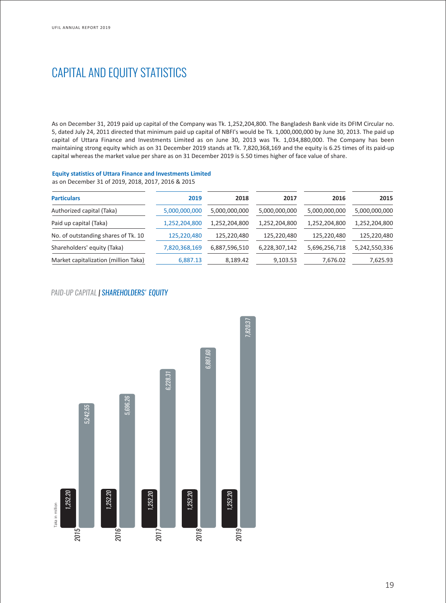## CAPITAL AND EQUITY STATISTICS

As on December 31, 2019 paid up capital of the Company was Tk. 1,252,204,800. The Bangladesh Bank vide its DFIM Circular no. 5, dated July 24, 2011 directed that minimum paid up capital of NBFI's would be Tk. 1,000,000,000 by June 30, 2013. The paid up capital of Uttara Finance and Investments Limited as on June 30, 2013 was Tk. 1,034,880,000. The Company has been maintaining strong equity which as on 31 December 2019 stands at Tk. 7,820,368,169 and the equity is 6.25 times of its paid-up capital whereas the market value per share as on 31 December 2019 is 5.50 times higher of face value of share.

### **Equity statistics of Uttara Finance and Investments Limited**

as on December 31 of 2019, 2018, 2017, 2016 & 2015

| <b>Particulars</b>                   | 2019          | 2018          | 2017          | 2016          | 2015          |
|--------------------------------------|---------------|---------------|---------------|---------------|---------------|
| Authorized capital (Taka)            | 5,000,000,000 | 5,000,000,000 | 5,000,000,000 | 5,000,000,000 | 5,000,000,000 |
| Paid up capital (Taka)               | 1,252,204,800 | 1,252,204,800 | 1,252,204,800 | 1,252,204,800 | 1,252,204,800 |
| No. of outstanding shares of Tk. 10  | 125,220,480   | 125,220,480   | 125,220,480   | 125,220,480   | 125,220,480   |
| Shareholders' equity (Taka)          | 7,820,368,169 | 6,887,596,510 | 6,228,307,142 | 5,696,256,718 | 5,242,550,336 |
| Market capitalization (million Taka) | 6,887.13      | 8,189.42      | 9,103.53      | 7,676.02      | 7,625.93      |

### *PAID-UP CAPITAL | SHAREHOLDERS' EQUITY*